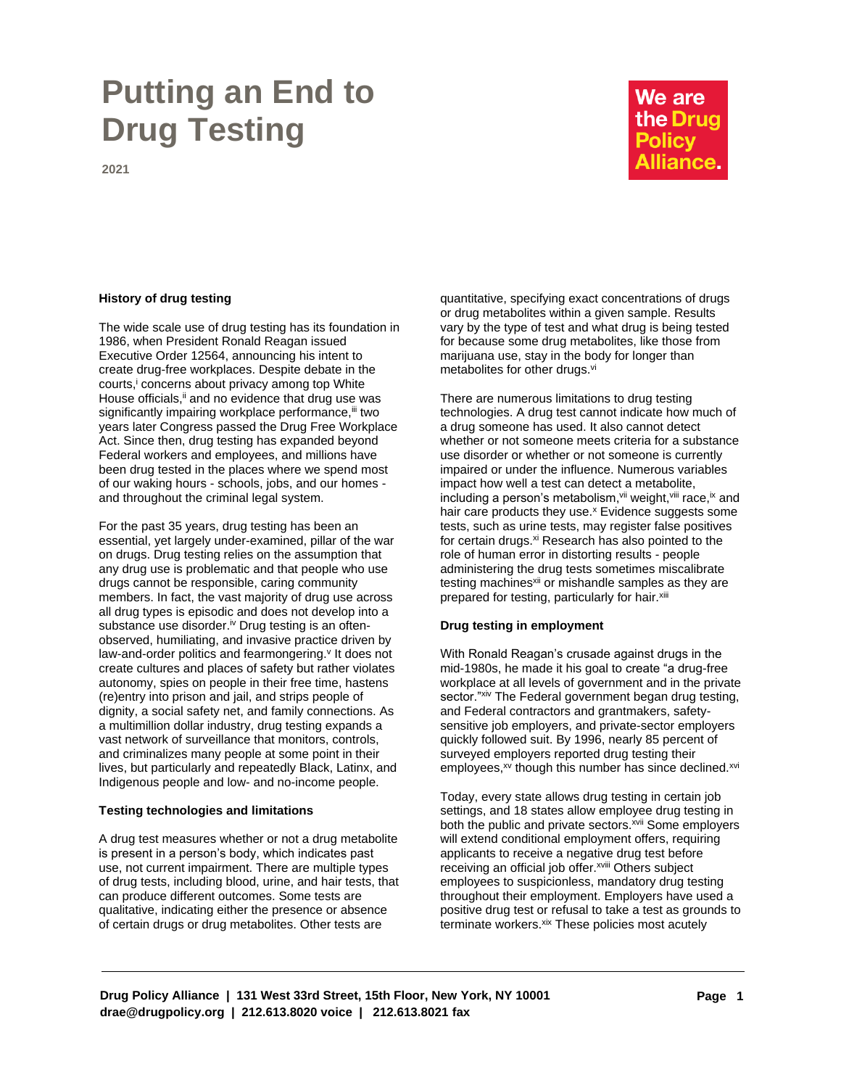# **Putting an End to Drug Testing**

## We are the Drug **Policy Alliance.**

**2021**

The wide scale use of drug testing has its foundation in 1986, when President Ronald Reagan issued Executive Order 12564, announcing his intent to create drug-free workplaces. Despite debate in the courts,<sup>i</sup> concerns about privacy among top White House officials,<sup>ii</sup> and no evidence that drug use was significantly impairing workplace performance, iii two years later Congress passed the Drug Free Workplace Act. Since then, drug testing has expanded beyond Federal workers and employees, and millions have been drug tested in the places where we spend most of our waking hours - schools, jobs, and our homes and throughout the criminal legal system.

For the past 35 years, drug testing has been an essential, yet largely under-examined, pillar of the war on drugs. Drug testing relies on the assumption that any drug use is problematic and that people who use drugs cannot be responsible, caring community members. In fact, the vast majority of drug use across all drug types is episodic and does not develop into a substance use disorder.<sup>iv</sup> Drug testing is an oftenobserved, humiliating, and invasive practice driven by law-and-order politics and fearmongering.<sup>v</sup> It does not create cultures and places of safety but rather violates autonomy, spies on people in their free time, hastens (re)entry into prison and jail, and strips people of dignity, a social safety net, and family connections. As a multimillion dollar industry, drug testing expands a vast network of surveillance that monitors, controls, and criminalizes many people at some point in their lives, but particularly and repeatedly Black, Latinx, and Indigenous people and low- and no-income people.

### **Testing technologies and limitations**

A drug test measures whether or not a drug metabolite is present in a person's body, which indicates past use, not current impairment. There are multiple types of drug tests, including blood, urine, and hair tests, that can produce different outcomes. Some tests are qualitative, indicating either the presence or absence of certain drugs or drug metabolites. Other tests are

**History of drug testing History of drugs** quantitative, specifying exact concentrations of drugs or drug metabolites within a given sample. Results vary by the type of test and what drug is being tested for because some drug metabolites, like those from marijuana use, stay in the body for longer than metabolites for other drugs.<sup>vi</sup>

> There are numerous limitations to drug testing technologies. A drug test cannot indicate how much of a drug someone has used. It also cannot detect whether or not someone meets criteria for a substance use disorder or whether or not someone is currently impaired or under the influence. Numerous variables impact how well a test can detect a metabolite, including a person's metabolism, vii weight, viii race, ix and hair care products they use.<sup>x</sup> Evidence suggests some tests, such as urine tests, may register false positives for certain drugs.<sup>xi</sup> Research has also pointed to the role of human error in distorting results - people administering the drug tests sometimes miscalibrate testing machines<sup>xii</sup> or mishandle samples as they are prepared for testing, particularly for hair. Xiii

### **Drug testing in employment**

With Ronald Reagan's crusade against drugs in the mid-1980s, he made it his goal to create "a drug-free workplace at all levels of government and in the private sector."xiv The Federal government began drug testing, and Federal contractors and grantmakers, safetysensitive job employers, and private-sector employers quickly followed suit. By 1996, nearly 85 percent of surveyed employers reported drug testing their employees,<sup>xv</sup> though this number has since declined.<sup>xvi</sup>

Today, every state allows drug testing in certain job settings, and 18 states allow employee drug testing in both the public and private sectors.<sup>xvii</sup> Some employers will extend conditional employment offers, requiring applicants to receive a negative drug test before receiving an official job offer.<sup>xviii</sup> Others subject employees to suspicionless, mandatory drug testing throughout their employment. Employers have used a positive drug test or refusal to take a test as grounds to terminate workers. Xix These policies most acutely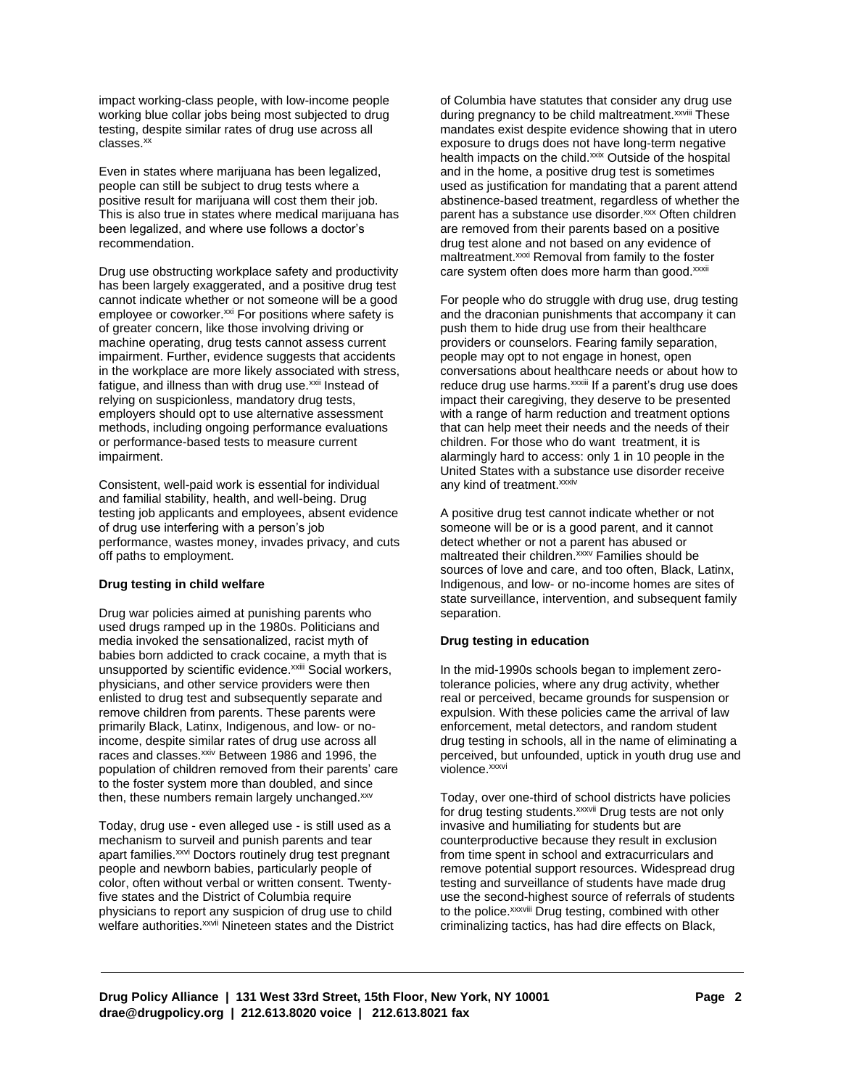impact working-class people, with low-income people working blue collar jobs being most subjected to drug testing, despite similar rates of drug use across all classes.<sup>xx</sup>

Even in states where marijuana has been legalized, people can still be subject to drug tests where a positive result for marijuana will cost them their job. This is also true in states where medical marijuana has been legalized, and where use follows a doctor's recommendation.

Drug use obstructing workplace safety and productivity has been largely exaggerated, and a positive drug test cannot indicate whether or not someone will be a good employee or coworker.<sup>xxi</sup> For positions where safety is of greater concern, like those involving driving or machine operating, drug tests cannot assess current impairment. Further, evidence suggests that accidents in the workplace are more likely associated with stress, fatigue, and illness than with drug use.<sup>xxii</sup> Instead of relying on suspicionless, mandatory drug tests, employers should opt to use alternative assessment methods, including ongoing performance evaluations or performance-based tests to measure current impairment.

Consistent, well-paid work is essential for individual any kind of treatment.<sup>xxxiv</sup> and familial stability, health, and well-being. Drug testing job applicants and employees, absent evidence of drug use interfering with a person's job performance, wastes money, invades privacy, and cuts off paths to employment.

#### **Drug testing in child welfare**

Drug war policies aimed at punishing parents who used drugs ramped up in the 1980s. Politicians and media invoked the sensationalized, racist myth of babies born addicted to crack cocaine, a myth that is unsupported by scientific evidence.<sup>xxiii</sup> Social workers, physicians, and other service providers were then enlisted to drug test and subsequently separate and remove children from parents. These parents were primarily Black, Latinx, Indigenous, and low- or noincome, despite similar rates of drug use across all races and classes.<sup>xxiv</sup> Between 1986 and 1996, the population of children removed from their parents' care to the foster system more than doubled, and since then, these numbers remain largely unchanged.xxv

Today, drug use - even alleged use - is still used as a mechanism to surveil and punish parents and tear apart families.<sup>xxvi</sup> Doctors routinely drug test pregnant people and newborn babies, particularly people of color, often without verbal or written consent. Twentyfive states and the District of Columbia require physicians to report any suspicion of drug use to child welfare authorities.<sup>xxvii</sup> Nineteen states and the District of Columbia have statutes that consider any drug use during pregnancy to be child maltreatment.<sup>xxviii</sup> These mandates exist despite evidence showing that in utero exposure to drugs does not have long-term negative health impacts on the child.<sup>xxix</sup> Outside of the hospital and in the home, a positive drug test is sometimes used as justification for mandating that a parent attend abstinence-based treatment, regardless of whether the parent has a substance use disorder.<sup>xxx</sup> Often children are removed from their parents based on a positive drug test alone and not based on any evidence of maltreatment.<sup>xxxi</sup> Removal from family to the foster care system often does more harm than good.<sup>xxxii</sup>

For people who do struggle with drug use, drug testing and the draconian punishments that accompany it can push them to hide drug use from their healthcare providers or counselors. Fearing family separation, people may opt to not engage in honest, open conversations about healthcare needs or about how to reduce drug use harms. XXXIII If a parent's drug use does impact their caregiving, they deserve to be presented with a range of harm reduction and treatment options that can help meet their needs and the needs of their children. For those who do want treatment, it is alarmingly hard to access: only 1 in 10 people in the United States with a substance use disorder receive

A positive drug test cannot indicate whether or not someone will be or is a good parent, and it cannot detect whether or not a parent has abused or maltreated their children.<sup>xxxv</sup> Families should be sources of love and care, and too often, Black, Latinx, Indigenous, and low- or no-income homes are sites of state surveillance, intervention, and subsequent family separation.

### **Drug testing in education**

In the mid-1990s schools began to implement zerotolerance policies, where any drug activity, whether real or perceived, became grounds for suspension or expulsion. With these policies came the arrival of law enforcement, metal detectors, and random student drug testing in schools, all in the name of eliminating a perceived, but unfounded, uptick in youth drug use and violence.<sup>xxxvi</sup>

Today, over one-third of school districts have policies for drug testing students.<sup>xxxvii</sup> Drug tests are not only invasive and humiliating for students but are counterproductive because they result in exclusion from time spent in school and extracurriculars and remove potential support resources. Widespread drug testing and surveillance of students have made drug use the second-highest source of referrals of students to the police. XXXVIII Drug testing, combined with other criminalizing tactics, has had dire effects on Black,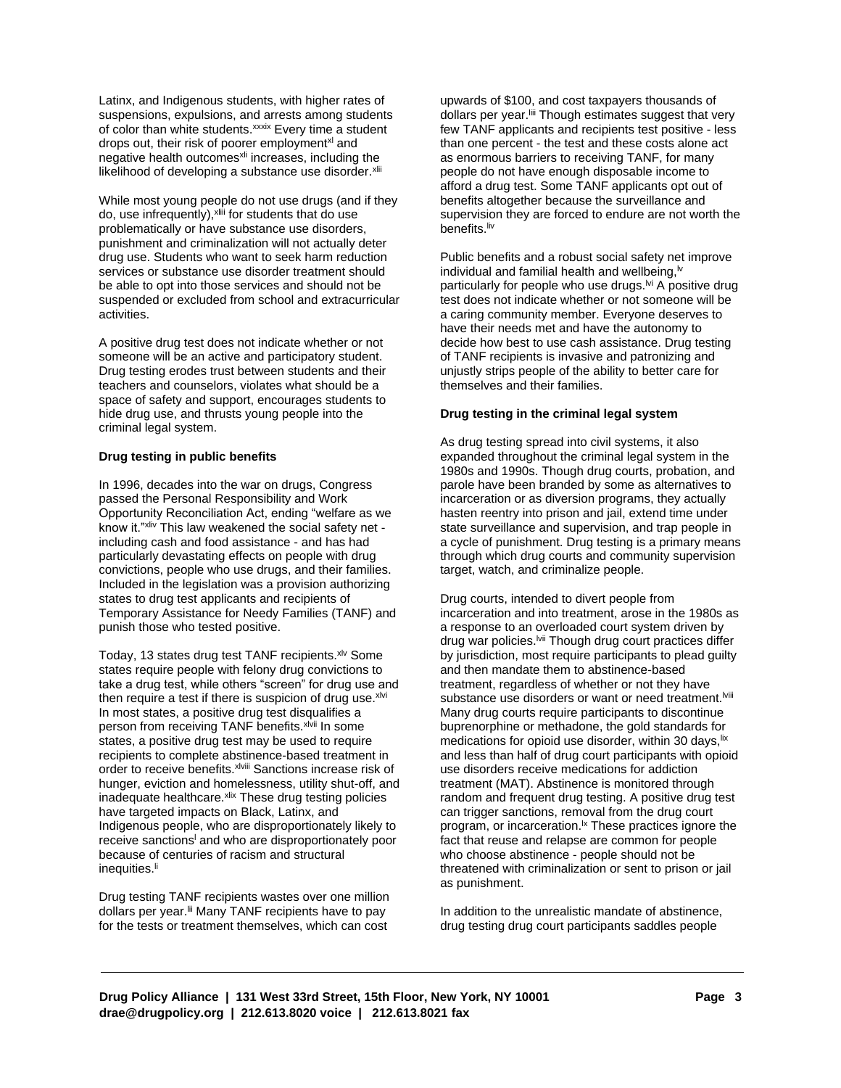Latinx, and Indigenous students, with higher rates of suspensions, expulsions, and arrests among students of color than white students.<sup>xxxix</sup> Every time a student drops out, their risk of poorer employment<sup>xl</sup> and negative health outcomes<sup>xli</sup> increases, including the likelihood of developing a substance use disorder. Xlii

While most young people do not use drugs (and if they do, use infrequently), <sup>xliii</sup> for students that do use problematically or have substance use disorders, punishment and criminalization will not actually deter drug use. Students who want to seek harm reduction services or substance use disorder treatment should be able to opt into those services and should not be suspended or excluded from school and extracurricular activities.

A positive drug test does not indicate whether or not someone will be an active and participatory student. Drug testing erodes trust between students and their teachers and counselors, violates what should be a space of safety and support, encourages students to hide drug use, and thrusts young people into the criminal legal system.

#### **Drug testing in public benefits**

In 1996, decades into the war on drugs, Congress passed the Personal Responsibility and Work Opportunity Reconciliation Act, ending "welfare as we know it."xliv This law weakened the social safety net including cash and food assistance - and has had particularly devastating effects on people with drug convictions, people who use drugs, and their families. Included in the legislation was a provision authorizing states to drug test applicants and recipients of Temporary Assistance for Needy Families (TANF) and punish those who tested positive.

Today, 13 states drug test TANF recipients. xlv Some states require people with felony drug convictions to take a drug test, while others "screen" for drug use and then require a test if there is suspicion of drug use. $x^{1/2}$ In most states, a positive drug test disqualifies a person from receiving TANF benefits. xlvii In some states, a positive drug test may be used to require recipients to complete abstinence-based treatment in order to receive benefits. xlviii Sanctions increase risk of hunger, eviction and homelessness, utility shut-off, and inadequate healthcare. Xiix These drug testing policies have targeted impacts on Black, Latinx, and Indigenous people, who are disproportionately likely to receive sanctions<sup>1</sup> and who are disproportionately poor because of centuries of racism and structural inequities.<sup>li</sup>

Drug testing TANF recipients wastes over one million dollars per year.<sup>Iii</sup> Many TANF recipients have to pay for the tests or treatment themselves, which can cost

upwards of \$100, and cost taxpayers thousands of dollars per year.<sup>Iiii</sup> Though estimates suggest that very few TANF applicants and recipients test positive - less than one percent - the test and these costs alone act as enormous barriers to receiving TANF, for many people do not have enough disposable income to afford a drug test. Some TANF applicants opt out of benefits altogether because the surveillance and supervision they are forced to endure are not worth the benefits.<sup>liv</sup>

Public benefits and a robust social safety net improve individual and familial health and wellbeing, $\mathbb{W}$ particularly for people who use drugs.<sup>M</sup> A positive drug test does not indicate whether or not someone will be a caring community member. Everyone deserves to have their needs met and have the autonomy to decide how best to use cash assistance. Drug testing of TANF recipients is invasive and patronizing and unjustly strips people of the ability to better care for themselves and their families.

### **Drug testing in the criminal legal system**

As drug testing spread into civil systems, it also expanded throughout the criminal legal system in the 1980s and 1990s. Though drug courts, probation, and parole have been branded by some as alternatives to incarceration or as diversion programs, they actually hasten reentry into prison and jail, extend time under state surveillance and supervision, and trap people in a cycle of punishment. Drug testing is a primary means through which drug courts and community supervision target, watch, and criminalize people.

Drug courts, intended to divert people from incarceration and into treatment, arose in the 1980s as a response to an overloaded court system driven by drug war policies.<sup>Ivii</sup> Though drug court practices differ by jurisdiction, most require participants to plead guilty and then mandate them to abstinence-based treatment, regardless of whether or not they have substance use disorders or want or need treatment.<sup>Iviii</sup> Many drug courts require participants to discontinue buprenorphine or methadone, the gold standards for medications for opioid use disorder, within 30 days, lix and less than half of drug court participants with opioid use disorders receive medications for addiction treatment (MAT). Abstinence is monitored through random and frequent drug testing. A positive drug test can trigger sanctions, removal from the drug court program, or incarceration. $\frac{1}{x}$  These practices ignore the fact that reuse and relapse are common for people who choose abstinence - people should not be threatened with criminalization or sent to prison or jail as punishment.

In addition to the unrealistic mandate of abstinence, drug testing drug court participants saddles people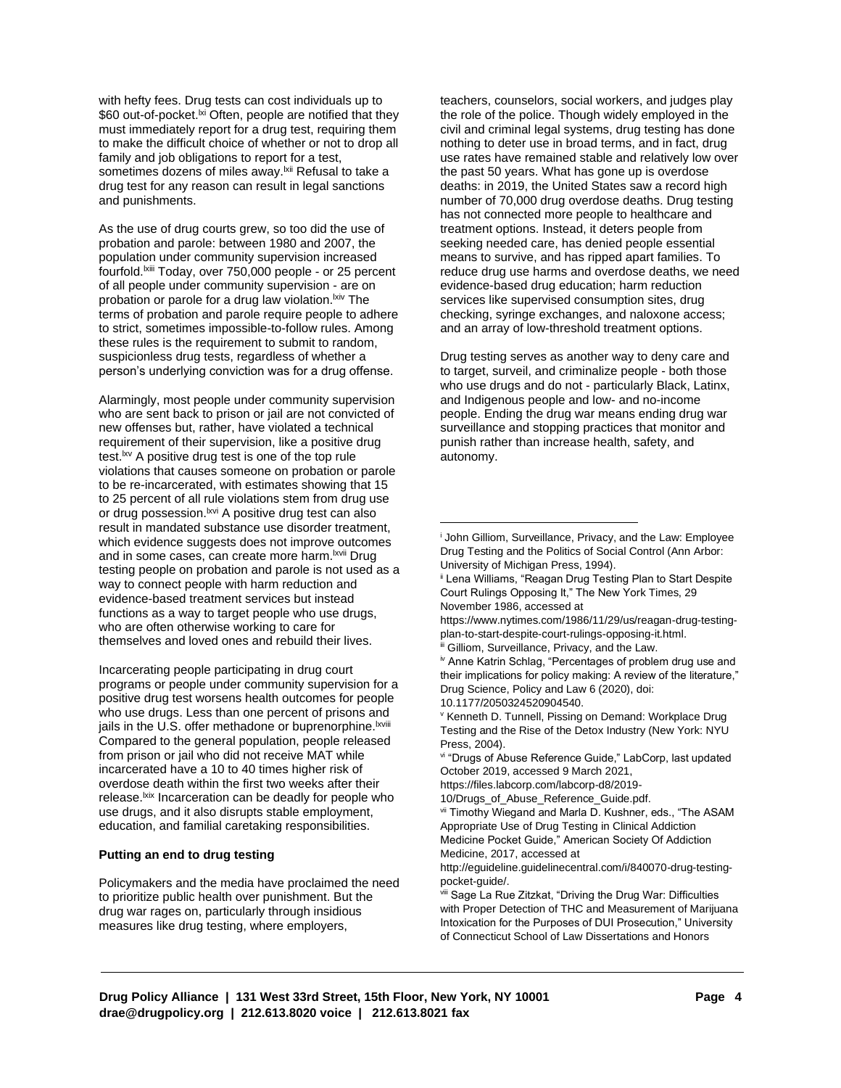with hefty fees. Drug tests can cost individuals up to \$60 out-of-pocket.<sup>|xi</sup> Often, people are notified that they must immediately report for a drug test, requiring them to make the difficult choice of whether or not to drop all family and job obligations to report for a test, sometimes dozens of miles away.<sup>Ixii</sup> Refusal to take a drug test for any reason can result in legal sanctions and punishments.

As the use of drug courts grew, so too did the use of probation and parole: between 1980 and 2007, the population under community supervision increased fourfold.<sup>Ixiii</sup> Today, over 750,000 people - or 25 percent of all people under community supervision - are on probation or parole for a drug law violation. Kiv The terms of probation and parole require people to adhere to strict, sometimes impossible-to-follow rules. Among these rules is the requirement to submit to random, suspicionless drug tests, regardless of whether a person's underlying conviction was for a drug offense.

Alarmingly, most people under community supervision who are sent back to prison or jail are not convicted of new offenses but, rather, have violated a technical requirement of their supervision, like a positive drug test.<sup>Ixv</sup> A positive drug test is one of the top rule violations that causes someone on probation or parole to be re-incarcerated, with estimates showing that 15 to 25 percent of all rule violations stem from drug use or drug possession.<sup>Ixvi</sup> A positive drug test can also result in mandated substance use disorder treatment, which evidence suggests does not improve outcomes and in some cases, can create more harm. <sup>Ixvii</sup> Drug testing people on probation and parole is not used as a way to connect people with harm reduction and evidence-based treatment services but instead functions as a way to target people who use drugs, who are often otherwise working to care for themselves and loved ones and rebuild their lives.

Incarcerating people participating in drug court programs or people under community supervision for a positive drug test worsens health outcomes for people who use drugs. Less than one percent of prisons and jails in the U.S. offer methadone or buprenorphine.<sup>Ixviii</sup> Compared to the general population, people released from prison or jail who did not receive MAT while incarcerated have a 10 to 40 times higher risk of overdose death within the first two weeks after their release.<sup>Ixix</sup> Incarceration can be deadly for people who use drugs, and it also disrupts stable employment, education, and familial caretaking responsibilities.

### **Putting an end to drug testing**

Policymakers and the media have proclaimed the need to prioritize public health over punishment. But the drug war rages on, particularly through insidious measures like drug testing, where employers,

teachers, counselors, social workers, and judges play the role of the police. Though widely employed in the civil and criminal legal systems, drug testing has done nothing to deter use in broad terms, and in fact, drug use rates have remained stable and relatively low over the past 50 years. What has gone up is overdose deaths: in 2019, the United States saw a record high number of 70,000 drug overdose deaths. Drug testing has not connected more people to healthcare and treatment options. Instead, it deters people from seeking needed care, has denied people essential means to survive, and has ripped apart families. To reduce drug use harms and overdose deaths, we need evidence-based drug education; harm reduction services like supervised consumption sites, drug checking, syringe exchanges, and naloxone access; and an array of low-threshold treatment options.

Drug testing serves as another way to deny care and to target, surveil, and criminalize people - both those who use drugs and do not - particularly Black, Latinx, and Indigenous people and low- and no-income people. Ending the drug war means ending drug war surveillance and stopping practices that monitor and punish rather than increase health, safety, and autonomy.

https://www.nytimes.com/1986/11/29/us/reagan-drug-testingplan-to-start-despite-court-rulings-opposing-it.html.

iii Gilliom, Surveillance, Privacy, and the Law.

10.1177/2050324520904540.

vi "Drugs of Abuse Reference Guide," LabCorp, last updated October 2019, accessed 9 March 2021,

https://files.labcorp.com/labcorp-d8/2019-

vii Timothy Wiegand and Marla D. Kushner, eds., "The ASAM Appropriate Use of Drug Testing in Clinical Addiction Medicine Pocket Guide," American Society Of Addiction

Medicine, 2017, accessed at

http://eguideline.guidelinecentral.com/i/840070-drug-testingpocket-guide/.

viii Sage La Rue Zitzkat, "Driving the Drug War: Difficulties with Proper Detection of THC and Measurement of Marijuana Intoxication for the Purposes of DUI Prosecution," University of Connecticut School of Law Dissertations and Honors

<sup>i</sup> John Gilliom, Surveillance, Privacy, and the Law: Employee Drug Testing and the Politics of Social Control (Ann Arbor: University of Michigan Press, 1994).

<sup>&</sup>lt;sup>ii</sup> Lena Williams, "Reagan Drug Testing Plan to Start Despite Court Rulings Opposing It," The New York Times, 29 November 1986, accessed at

iv Anne Katrin Schlag, "Percentages of problem drug use and their implications for policy making: A review of the literature," Drug Science, Policy and Law 6 (2020), doi:

<sup>v</sup> Kenneth D. Tunnell, Pissing on Demand: Workplace Drug Testing and the Rise of the Detox Industry (New York: NYU Press, 2004).

<sup>10/</sup>Drugs\_of\_Abuse\_Reference\_Guide.pdf.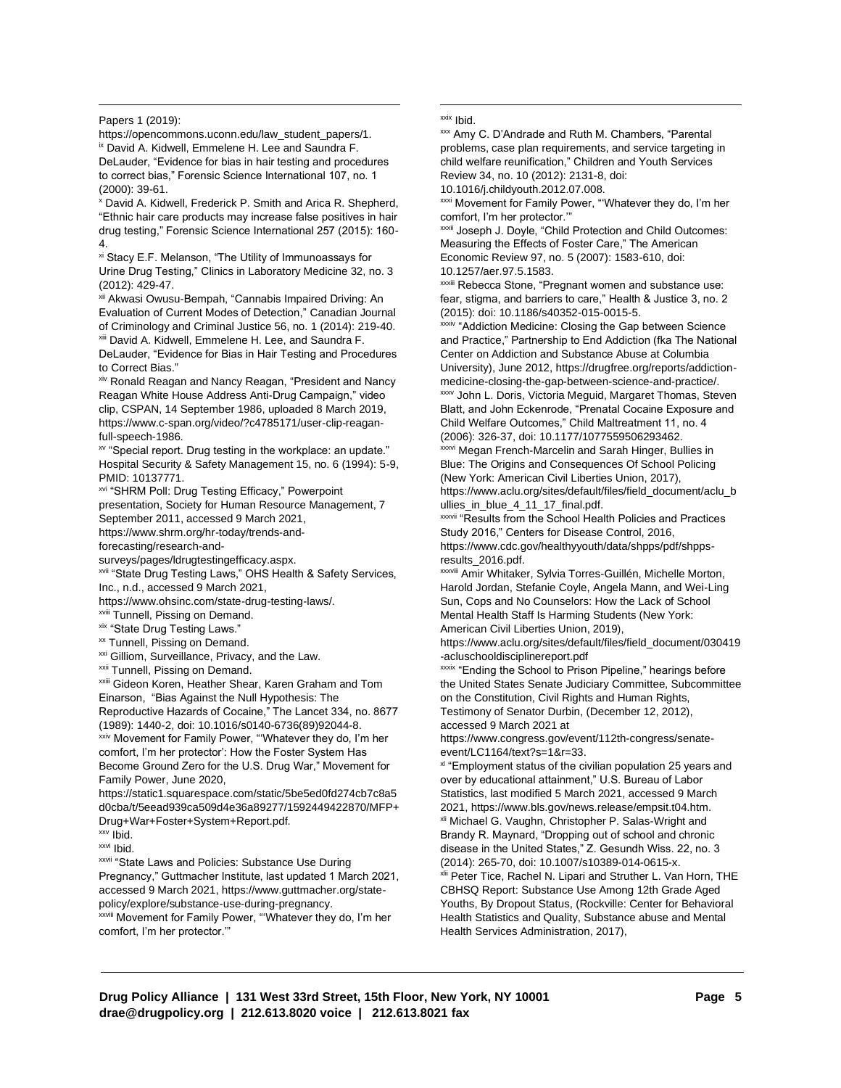Papers 1 (2019):

https://opencommons.uconn.edu/law\_student\_papers/1. ix David A. Kidwell, Emmelene H. Lee and Saundra F.

DeLauder, "Evidence for bias in hair testing and procedures to correct bias," Forensic Science International 107, no. 1 (2000): 39-61.

<sup>x</sup> David A. Kidwell, Frederick P. Smith and Arica R. Shepherd, "Ethnic hair care products may increase false positives in hair drug testing," Forensic Science International 257 (2015): 160- 4.

xi Stacy E.F. Melanson, "The Utility of Immunoassays for Urine Drug Testing," Clinics in Laboratory Medicine 32, no. 3

xii Akwas[i Owusu-Bempah, "Cannabis Impaired Driving: An](https://www.zotero.org/google-docs/?uJTb64)  [Evaluation of Current Modes of Detection,"](https://www.zotero.org/google-docs/?uJTb64) Canadian Journal of Criminology and Criminal Justice 56, no. 1 (2014): 219-40. xxxiv "Addiction Medicine: Closing the Gap between Science xiii David A. [Kidwell, Emmelene H. Lee, and Saundra F.](https://www.zotero.org/google-docs/?3FTmzj) 

[DeLauder, "Evidence for Bias in Hair Testing and Procedures](https://www.zotero.org/google-docs/?3FTmzj)  [to Correct Bias.](https://www.zotero.org/google-docs/?3FTmzj)"

xiv Ronald Reagan and Nancy Reagan, "President and Nancy Reagan White House Address Anti-Drug Campaign," video clip, CSPAN, 14 September 1986, uploaded 8 March 2019, https://www.c-span.org/video/?c4785171/user-clip-reaganfull-speech-1986.

xv "Special report. Drug testing in the workplace: an update." Hospital Security & Safety Management 15, no. 6 (1994): 5-9, PMID: 10137771.

xvi "SHRM Poll: Drug Testing Efficacy," Powerpoint presentation, Society for Human Resource Management, 7 September 2011, accessed 9 March 2021,

https://www.shrm.org/hr-today/trends-and-

forecasting/research-and-

surveys/pages/ldrugtestingefficacy.aspx.

**xvii "State Drug Testing Laws," OHS Health & Safety Services,** Inc., n.d., accessed 9 March 2021,

https://www.ohsinc.com/state-drug-testing-laws/.

xviii Tunnell, Pissing on Demand.

xix "State Drug Testing Laws."

xx Tunnell, Pissing on Demand.

xxi Gilliom, Surveillance, Privacy, and the Law.

xxiii Gideon Koren, Heather Shear, Karen Graham and Tom Einarson, "Bias Against the Null Hypothesis: The Reproductive Hazards of Cocaine," The Lancet 334, no. 8677 (1989): 1440-2, doi: 10.1016/s0140-6736(89)92044-8.

xxiv Movement for Family Power, "'Whatever they do, I'm her comfort, I'm her protector': How the Foster System Has Become Ground Zero for the U.S. Drug War," Movement for Family Power, June 2020,

https://static1.squarespace.com/static/5be5ed0fd274cb7c8a5 d0cba/t/5eead939ca509d4e36a89277/1592449422870/MFP+ Drug+War+Foster+System+Report.pdf. xii Michael G. Vaughn, Christopher P. Salas-Wright and

xxv Ibid.

xxvi Ibid.

xxvii "State Laws and Policies: Substance Use During Pregnancy," Guttmacher Institute, last updated 1 March 2021, accessed 9 March 2021, https://www.guttmacher.org/statepolicy/explore/substance-use-during-pregnancy.

xxviii Movement for Family Power, "'Whatever they do, I'm her comfort, I'm her protector.'"

#### xxix Ibid.

xxx Amy C. D'Andrade and Ruth M. Chambers, "Parental problems, case plan requirements, and service targeting in child welfare reunification," Children and Youth Services Review 34, no. 10 (2012): 2131-8, doi:

10.1016/j.childyouth.2012.07.008.

xxxi Movement for Family Power, "'Whatever they do, I'm her comfort, I'm her protector.'"

**xxxii Joseph J. Doyle, "Child Protection and Child Outcomes:** Measuring the Effects of Foster Care," The American Economic Review 97, no. 5 (2007): 1583-610, doi: 10.1257/aer.97.5.1583.

(2012): 429-47. **XXXIII** Rebecca Stone, "Pregnant women and substance use: fear, stigma, and barriers to care," Health & Justice 3, no. 2 (2015): doi: 10.1186/s40352-015-0015-5.

> and Practice," Partnership to End Addiction (fka The National Center on Addiction and Substance Abuse at Columbia University), June 2012, https://drugfree.org/reports/addictionmedicine-closing-the-gap-between-science-and-practice/. xxxv John L. Doris, Victoria Meguid, Margaret Thomas, Steven Blatt, and John Eckenrode, "Prenatal Cocaine Exposure and Child Welfare Outcomes," Child Maltreatment 11, no. 4 (2006): 326-37, doi: 10.1177/1077559506293462.

xxxvi Megan French-Marcelin and Sarah Hinger, Bullies in Blue: The Origins and Consequences Of School Policing (New York: American Civil Liberties Union, 2017),

https://www.aclu.org/sites/default/files/field\_document/aclu\_b ullies\_in\_blue\_4\_11\_17\_final.pdf.

**xxxvii** "Results from the School Health Policies and Practices Study 2016," Centers for Disease Control, 2016, https://www.cdc.gov/healthyyouth/data/shpps/pdf/shppsresults\_2016.pdf.

xxxviii Amir Whitaker, Sylvia Torres-Guillén, Michelle Morton, Harold Jordan, Stefanie Coyle, Angela Mann, and Wei-Ling Sun, Cops and No Counselors: How the Lack of School Mental Health Staff Is Harming Students (New York: American Civil Liberties Union, 2019),

https://www.aclu.org/sites/default/files/field\_document/030419 -acluschooldisciplinereport.pdf

xxii Tunnell, Pissing on Demand. The School of Prison Pipeline," hearings before in the School to Prison Pipeline," hearings before the United States Senate Judiciary Committee, Subcommittee on the Constitution, Civil Rights and Human Rights, Testimony of Senator Durbin, (December 12, 2012), accessed 9 March 2021 at

https://www.congress.gov/event/112th-congress/senateevent/LC1164/text?s=1&r=33.

x<sup>1</sup> "Employment status of the civilian population 25 years and over by educational attainment," U.S. Bureau of Labor Statistics, last modified 5 March 2021, accessed 9 March 2021, https://www.bls.gov/news.release/empsit.t04.htm. Brandy R. Maynard, "Dropping out of school and chronic disease in the United States," Z. Gesundh Wiss. 22, no. 3 (2014): 265-70, doi: 10.1007/s10389-014-0615-x. xlii Peter Tice, Rachel N. Lipari and Struther L. Van Horn, THE CBHSQ Report: Substance Use Among 12th Grade Aged Youths, By Dropout Status, (Rockville: Center for Behavioral Health Statistics and Quality, Substance abuse and Mental Health Services Administration, 2017),